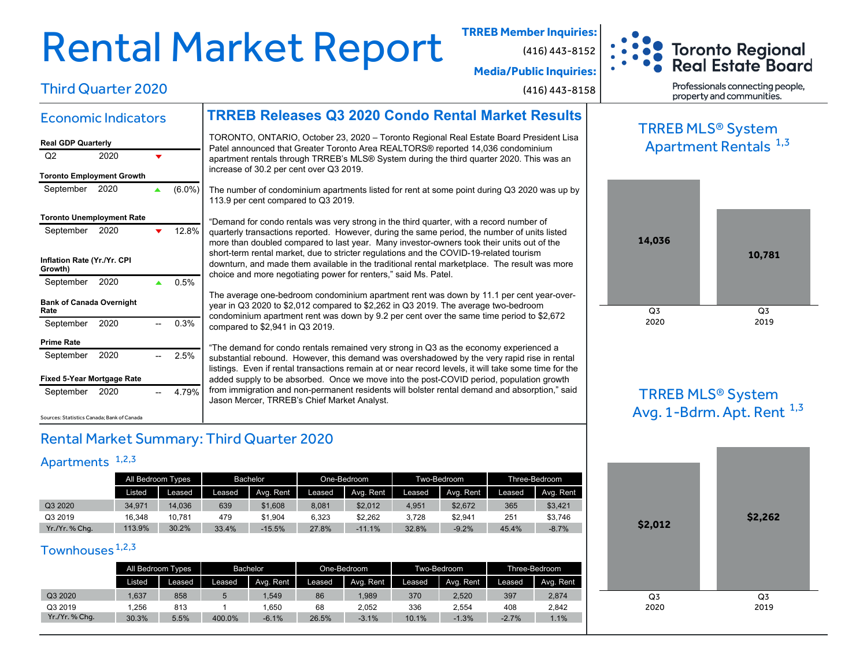# Rental Market Report **TRREB Member Inquiries:**

**Media/Public Inquiries:**

(416) 443-8158

(416) 443-8152



Third Quarter 2020

### Economic Indicators

### **Real GDP Quarterly** Q<sub>2</sub> 2020  $\overline{\mathbf{v}}$ **Toronto Employment Growth** September 2020 ▲ (6.0%) **Toronto Unemployment Rate** September 2020 **▼** 12.8% **Inflation Rate (Yr./Yr. CPI Growth)** September 2020  $\triangle$  0.5% **Bank of Canada Overnight Rate** September 2020 -- 0.3% **Prime Rate** September 2020 -- 2.5%

**Fixed 5-Year Mortgage Rate**

Sources: Statistics Canada; Bank of Canada

September 2020 -- 4.79%

Patel announced that Greater Toronto Area REALTORS® reported 14,036 condominium apartment rentals through TRREB's MLS® System during the third quarter 2020. This was an increase of 30.2 per cent over Q3 2019.

**TRREB Releases Q3 2020 Condo Rental Market Results**

TORONTO, ONTARIO, October 23, 2020 – Toronto Regional Real Estate Board President Lisa

The number of condominium apartments listed for rent at some point during Q3 2020 was up by 113.9 per cent compared to Q3 2019.

"Demand for condo rentals was very strong in the third quarter, with a record number of quarterly transactions reported. However, during the same period, the number of units listed more than doubled compared to last year. Many investor-owners took their units out of the short-term rental market, due to stricter regulations and the COVID-19-related tourism downturn, and made them available in the traditional rental marketplace. The result was more choice and more negotiating power for renters," said Ms. Patel.

The average one-bedroom condominium apartment rent was down by 11.1 per cent year-overyear in Q3 2020 to \$2,012 compared to \$2,262 in Q3 2019. The average two-bedroom condominium apartment rent was down by 9.2 per cent over the same time period to \$2,672 compared to \$2,941 in Q3 2019.

"The demand for condo rentals remained very strong in Q3 as the economy experienced a substantial rebound. However, this demand was overshadowed by the very rapid rise in rental listings. Even if rental transactions remain at or near record levels, it will take some time for the added supply to be absorbed. Once we move into the post-COVID period, population growth from immigration and non-permanent residents will bolster rental demand and absorption," said Jason Mercer, TRREB's Chief Market Analyst.

Professionals connecting people, property and communities.

## TRREB MLS® System Apartment Rentals <sup>1,3</sup>



TRREB MLS® System Avg. 1-Bdrm. Apt. Rent  $^{1,3}$ 



### Rental Market Summary: Third Quarter 2020

### Apartments<sup>1,2,3</sup>

|              | All Bedroom Types |        | Bachelor |           |        | One-Bedroom |        | Two-Bedroom | Three-Bedroom |           |
|--------------|-------------------|--------|----------|-----------|--------|-------------|--------|-------------|---------------|-----------|
|              | Listed            | Leased | Leased.  | Avg. Rent | Leased | Avg. Rent   | Leased | Avg. Rent   | Leased        | Avg. Rent |
| Q3 2020      | 34.971            | 14.036 | 639      | \$1,608   | 8,081  | \$2,012     | 4.951  | \$2,672     | 365           | \$3,421   |
| Q3 2019      | 16.348            | 10.781 | 479      | \$1.904   | 6.323  | \$2.262     | 3.728  | \$2.941     | 251           | \$3,746   |
| Yr./Yr.%Chq. | 113.9%            | 30.2%  | 33.4%    | $-15.5%$  | 27.8%  | $-11.1%$    | 32.8%  | $-9.2%$     | 45.4%         | $-8.7\%$  |

### Townhouses<sup>1,2,3</sup>

|              | All Bedroom Types |        | Bachelor |           |        | One-Bedroom |        | Two-Bedroom | Three-Bedroom |           |
|--------------|-------------------|--------|----------|-----------|--------|-------------|--------|-------------|---------------|-----------|
|              | Listed            | Leased | Leased   | Ava. Rent | Leased | Avg. Rent   | Leased | Avg. Rent   | Leased        | Avg. Rent |
| Q3 2020      | .637              | 858    | 5        | 1.549     | 86     | ,989        | 370    | 2,520       | 397           | 2,874     |
| Q3 2019      | .256              | 813    |          | .650      | 68     | 2.052       | 336    | 2.554       | 408           | 2.842     |
| Yr./Yr.%Chq. | 30.3%             | 5.5%   | 400.0%   | $-6.1%$   | 26.5%  | $-3.1%$     | 10.1%  | $-1.3%$     | $-2.7%$       | 1.1%      |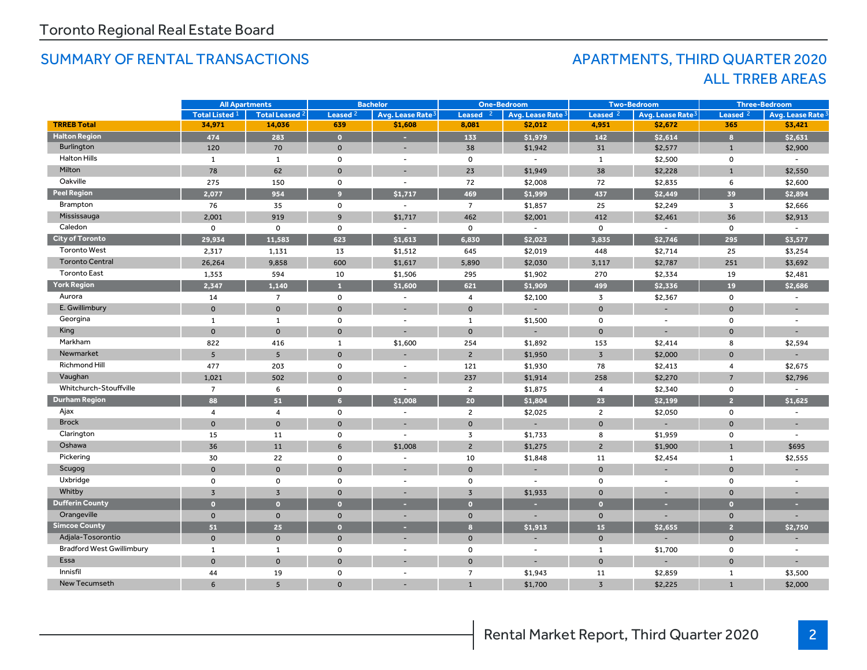## SUMMARY OF RENTAL TRANSACTIONS APARTMENTS, THIRD QUARTER 2020

# ALL TRREB AREAS

|                                  | <b>All Apartments</b>     |                       | <b>Bachelor</b>     |                              | <b>One-Bedroom</b>  |                              | <b>Two-Bedroom</b>  |                              | <b>Three-Bedroom</b> |                              |
|----------------------------------|---------------------------|-----------------------|---------------------|------------------------------|---------------------|------------------------------|---------------------|------------------------------|----------------------|------------------------------|
|                                  | Total Listed <sup>1</sup> | <b>Total Leased 2</b> | Leased <sup>2</sup> | Avg. Lease Rate <sup>3</sup> | Leased <sub>2</sub> | Avg. Lease Rate <sup>3</sup> | Leased <sup>2</sup> | Avg. Lease Rate <sup>3</sup> | Leased <sup>2</sup>  | Avg. Lease Rate <sup>3</sup> |
| <b>TRREB Total</b>               | 34,971                    | 14,036                | 639                 | \$1,608                      | 8,081               | \$2,012                      | 4,951               | \$2,672                      | 365                  | \$3,421                      |
| <b>Halton Region</b>             | 474                       | 283                   | $\overline{0}$      |                              | 133                 | \$1,979                      | 142                 | \$2,614                      | $\mathbf{a}$         | \$2,631                      |
| <b>Burlington</b>                | 120                       | 70                    | $\mathbf 0$         | $\overline{\phantom{a}}$     | 38                  | \$1,942                      | 31                  | \$2,577                      | $\mathbf{1}$         | \$2,900                      |
| <b>Halton Hills</b>              | 1                         | 1                     | 0                   | $\overline{\phantom{a}}$     | $\mathsf{o}$        | $\overline{\phantom{a}}$     | 1                   | \$2,500                      | 0                    |                              |
| Milton                           | 78                        | 62                    | $\mathbf{0}$        | $\overline{\phantom{0}}$     | 23                  | \$1,949                      | 38                  | \$2,228                      | $\mathbf{1}$         | \$2,550                      |
| Oakville                         | 275                       | 150                   | 0                   | $\overline{\phantom{a}}$     | 72                  | \$2,008                      | 72                  | \$2,835                      | 6                    | \$2,600                      |
| <b>Peel Region</b>               | 2,077                     | 954                   | 9 <sup>°</sup>      | \$1,717                      | 469                 | \$1,999                      | 437                 | \$2,449                      | 39                   | \$2,894                      |
| Brampton                         | 76                        | 35                    | $\mathsf{o}\,$      | $\sim$                       | $\overline{7}$      | \$1,857                      | 25                  | \$2,249                      | $\overline{3}$       | \$2,666                      |
| Mississauga                      | 2,001                     | 919                   | $\overline{9}$      | \$1,717                      | 462                 | \$2,001                      | 412                 | \$2,461                      | 36                   | \$2,913                      |
| Caledon                          | $\mathbf 0$               | $\mathbf 0$           | $\mathbf 0$         |                              | $\mathbf 0$         | $\sim$                       | $\mathsf{o}$        | $\overline{\phantom{a}}$     | $\mathbf 0$          |                              |
| <b>City of Toronto</b>           | 29,934                    | 11,583                | 623                 | \$1,613                      | 6,830               | \$2,023                      | 3.835               | \$2,746                      | 295                  | \$3,577                      |
| <b>Toronto West</b>              | 2,317                     | 1,131                 | 13                  | \$1,512                      | 645                 | \$2,019                      | 448                 | \$2,714                      | 25                   | \$3,254                      |
| <b>Toronto Central</b>           | 26,264                    | 9,858                 | 600                 | \$1,617                      | 5,890               | \$2,030                      | 3,117               | \$2,787                      | 251                  | \$3,692                      |
| <b>Toronto East</b>              | 1,353                     | 594                   | 10                  | \$1,506                      | 295                 | \$1,902                      | 270                 | \$2,334                      | 19                   | \$2,481                      |
| <b>York Region</b>               | 2,347                     | 1,140                 | $\mathbf{1}$        | \$1,600                      | 621                 | \$1,909                      | 499                 | \$2,336                      | 19                   | \$2,686                      |
| Aurora                           | 14                        | $7^{\circ}$           | 0                   | $\overline{\phantom{a}}$     | $\overline{4}$      | \$2,100                      | 3                   | \$2,367                      | $\mathsf{o}$         | $\sim$                       |
| E. Gwillimbury                   | $\mathbf{O}$              | $\mathbf{0}$          | $\mathbf{0}$        | ш.                           | $\mathbf{0}$        | $\overline{\phantom{a}}$     | $\mathsf{o}$        | $\overline{a}$               | $\mathbf{0}$         |                              |
| Georgina                         | 1                         | $\mathbf{1}$          | $\mathbf 0$         | $\overline{\phantom{a}}$     | $\mathbf{1}$        | \$1,500                      | $\mathsf{o}$        | $\overline{\phantom{a}}$     | 0                    |                              |
| King                             | $\mathbf{0}$              | $\mathbf{0}$          | $\mathbf 0$         |                              | $\mathbf 0$         |                              | $\mathbf{0}$        | $\overline{\phantom{a}}$     | $\mathbf{O}$         |                              |
| Markham                          | 822                       | 416                   | $\mathbf{1}$        | \$1,600                      | 254                 | \$1,892                      | 153                 | \$2,414                      | 8                    | \$2,594                      |
| Newmarket                        | 5                         | $5\overline{5}$       | $\mathbf 0$         |                              | $\overline{2}$      | \$1,950                      | $\overline{3}$      | \$2,000                      | $\mathbf 0$          |                              |
| Richmond Hill                    | 477                       | 203                   | $\mathbf 0$         | $\overline{\phantom{a}}$     | 121                 | \$1,930                      | 78                  | \$2,413                      | $\overline{4}$       | \$2,675                      |
| Vaughan                          | 1,021                     | 502                   | $\mathbf 0$         |                              | 237                 | \$1,914                      | 258                 | \$2,270                      | $\overline{7}$       | \$2,796                      |
| Whitchurch-Stouffville           | $\overline{7}$            | 6                     | 0                   | $\overline{\phantom{a}}$     | $\overline{2}$      | \$1,875                      | $\overline{4}$      | \$2,340                      | 0                    | $\overline{\phantom{a}}$     |
| <b>Durham Region</b>             | 88                        | 51                    | 6 <sup>1</sup>      | \$1.008                      | 20                  | \$1,804                      | 23                  | \$2.199                      | $\overline{a}$       | \$1,625                      |
| Ajax                             | $\overline{4}$            | $\overline{4}$        | $\mathbf 0$         | $\sim$                       | $\overline{2}$      | \$2,025                      | $\mathbf{2}$        | \$2,050                      | $\mathbf 0$          |                              |
| <b>Brock</b>                     | $\mathbf{0}$              | $\mathbf{0}$          | $\mathbf{O}$        |                              | $\mathbf 0$         |                              | $\mathbf 0$         |                              | $\mathbf{0}$         |                              |
| Clarington                       | 15                        | 11                    | 0                   | $\sim$                       | 3                   | \$1,733                      | 8                   | \$1,959                      | 0                    | $\sim$                       |
| Oshawa                           | 36                        | 11                    | 6                   | \$1,008                      | $\mathsf{2}$        | \$1,275                      | $2^{\circ}$         | \$1,900                      | $\mathbf{1}$         | \$695                        |
| Pickering                        | 30                        | 22                    | 0                   | $\overline{\phantom{a}}$     | 10                  | \$1,848                      | 11                  | \$2,454                      | $\mathbf{1}$         | \$2,555                      |
| Scugog                           | $\mathsf{o}$              | $\mathbf 0$           | $\mathbf 0$         |                              | $\mathbf 0$         |                              | $\mathbf{0}$        |                              | $\mathbf{0}$         |                              |
| Uxbridge                         | 0                         | 0                     | 0                   | $\overline{\phantom{a}}$     | $\mathbf 0$         | $\overline{\phantom{a}}$     | 0                   | $\overline{\phantom{a}}$     | 0                    | $\sim$                       |
| Whitby                           | 3                         | $\overline{3}$        | $\mathbf{0}$        |                              | $\overline{3}$      | \$1,933                      | $\Omega$            |                              | $\Omega$             |                              |
| <b>Dufferin County</b>           | $\overline{0}$            | $\Omega$              | $\bullet$           | н.                           | $\bullet$           |                              | $\overline{0}$      | н                            | $\bullet$            |                              |
| Orangeville                      | $\mathbf{O}$              | $\mathbf 0$           | $\mathbf 0$         |                              | $\mathbf 0$         |                              | $\mathbf{0}$        |                              | $\mathbf{0}$         |                              |
| <b>Simcoe County</b>             | 51                        | 25                    | $\bullet$           | ×                            | 8                   | \$1,913                      | 15 <sub>1</sub>     | \$2,655                      | $\overline{2}$       | \$2,750                      |
| Adjala-Tosorontio                | $\mathbf{0}$              | $\mathbf 0$           | $\mathbf 0$         |                              | $\mathbf 0$         |                              | $\mathbf 0$         |                              | $\mathbf 0$          |                              |
| <b>Bradford West Gwillimbury</b> | $\mathbf{1}$              | $\mathbf{1}$          | 0                   | $\overline{\phantom{a}}$     | 0                   | $\overline{\phantom{a}}$     | 1                   | \$1,700                      | 0                    | $\overline{\phantom{a}}$     |
| Essa                             | $\mathsf{o}$              | $\mathbf 0$           | $\mathbf 0$         |                              | $\mathbf 0$         |                              | $\mathbf 0$         |                              | $\mathbf 0$          |                              |
| Innisfil                         | 44                        | 19                    | 0                   | $\sim$                       | $\overline{7}$      | \$1,943                      | 11                  | \$2,859                      | $\mathbf{1}$         | \$3,500                      |
| <b>New Tecumseth</b>             | 6                         | 5                     | $\Omega$            |                              | $\mathbf{1}$        | \$1,700                      | $\overline{3}$      | \$2,225                      | $\overline{1}$       | \$2,000                      |
|                                  |                           |                       |                     |                              |                     |                              |                     |                              |                      |                              |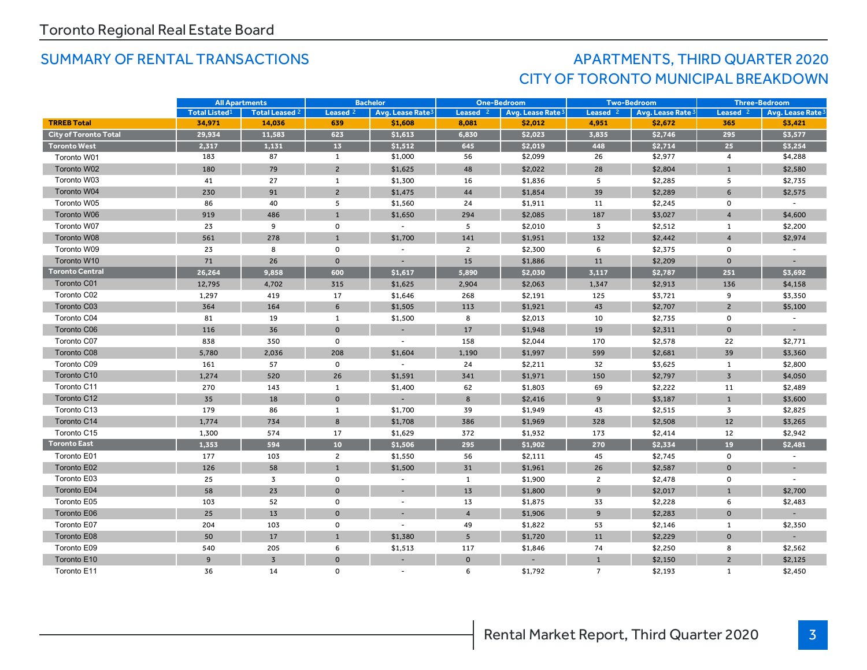# SUMMARY OF RENTAL TRANSACTIONS AND RESOLUTION APARTMENTS, THIRD QUARTER 2020 CITY OF TORONTO MUNICIPAL BREAKDOWN

|                              | <b>All Apartments</b> |                | <b>Bachelor</b>     |                              | <b>One-Bedroom</b> |                              | <b>Two-Bedroom</b>  |                   | <b>Three-Bedroom</b> |                              |
|------------------------------|-----------------------|----------------|---------------------|------------------------------|--------------------|------------------------------|---------------------|-------------------|----------------------|------------------------------|
|                              | <b>Total Listed1</b>  | Total Leased 2 | Leased <sup>2</sup> | Avg. Lease Rate <sup>3</sup> | Leased $2$         | Avg. Lease Rate <sup>3</sup> | Leased <sup>2</sup> | Avg. Lease Rate 3 | Leased $2$           | Avg. Lease Rate <sup>3</sup> |
| <b>TRREB Total</b>           | 34,971                | 14,036         | 639                 | \$1,608                      | 8,081              | \$2,012                      | 4,951               | \$2,672           | 365                  | \$3,421                      |
| <b>City of Toronto Total</b> | 29,934                | 11,583         | 623                 | \$1,613                      | 6,830              | \$2,023                      | 3,835               | \$2,746           | 295                  | \$3,577                      |
| <b>Toronto West</b>          | 2,317                 | 1,131          | 13                  | \$1,512                      | 645                | \$2,019                      | 448                 | \$2,714           | 25                   | \$3,254                      |
| Toronto W01                  | 183                   | 87             | $\mathbf{1}$        | \$1,000                      | 56                 | \$2,099                      | 26                  | \$2,977           | $\overline{4}$       | \$4,288                      |
| Toronto W02                  | 180                   | 79             | $\overline{2}$      | \$1,625                      | 48                 | \$2,022                      | 28                  | \$2,804           | $\mathbf{1}$         | \$2,580                      |
| Toronto W03                  | 41                    | 27             | $\mathbf{1}$        | \$1,300                      | 16                 | \$1,836                      | 5                   | \$2,285           | 5                    | \$2,735                      |
| Toronto W04                  | 230                   | 91             | $\overline{2}$      | \$1,475                      | 44                 | \$1,854                      | 39                  | \$2,289           | 6                    | \$2,575                      |
| Toronto W05                  | 86                    | 40             | 5                   | \$1,560                      | 24                 | \$1,911                      | 11                  | \$2,245           | $\mathbf 0$          |                              |
| Toronto W06                  | 919                   | 486            | $\mathbf{1}$        | \$1,650                      | 294                | \$2,085                      | 187                 | \$3,027           | $\overline{4}$       | \$4,600                      |
| Toronto W07                  | 23                    | 9              | $\mathsf{o}$        |                              | 5                  | \$2,010                      | 3                   | \$2,512           | $\mathbf{1}$         | \$2,200                      |
| Toronto W08                  | 561                   | 278            | $\mathbf{1}$        | \$1,700                      | 141                | \$1,951                      | 132                 | \$2,442           | $\overline{4}$       | \$2,974                      |
| Toronto W09                  | 23                    | 8              | $\mathbf 0$         |                              | $\overline{2}$     | \$2,300                      | 6                   | \$2,375           | 0                    |                              |
| Toronto W10                  | 71                    | 26             | $\mathbf 0$         |                              | 15                 | \$1,886                      | 11                  | \$2,209           | $\mathbf 0$          |                              |
| <b>Toronto Central</b>       | 26.264                | 9.858          | 600                 | \$1,617                      | 5,890              | \$2,030                      | 3,117               | \$2,787           | 251                  | \$3,692                      |
| Toronto C01                  | 12,795                | 4,702          | 315                 | \$1,625                      | 2,904              | \$2,063                      | 1,347               | \$2,913           | 136                  | \$4,158                      |
| Toronto C02                  | 1,297                 | 419            | 17                  | \$1,646                      | 268                | \$2,191                      | 125                 | \$3,721           | 9                    | \$3,350                      |
| Toronto C03                  | 364                   | 164            | 6                   | \$1,505                      | 113                | \$1,921                      | 43                  | \$2,707           | $\overline{2}$       | \$5,100                      |
| Toronto C04                  | 81                    | 19             | 1                   | \$1,500                      | 8                  | \$2,013                      | 10                  | \$2,735           | $\mathsf{o}\,$       |                              |
| <b>Toronto C06</b>           | 116                   | 36             | $\mathbf{0}$        |                              | 17                 | \$1,948                      | 19                  | \$2,311           | $\mathbf 0$          |                              |
| Toronto C07                  | 838                   | 350            | $\mathbf 0$         | $\sim$                       | 158                | \$2,044                      | 170                 | \$2,578           | 22                   | \$2,771                      |
| Toronto C08                  | 5,780                 | 2,036          | 208                 | \$1,604                      | 1,190              | \$1,997                      | 599                 | \$2,681           | 39                   | \$3,360                      |
| Toronto C09                  | 161                   | 57             | $\mathbf 0$         |                              | 24                 | \$2,211                      | 32                  | \$3,625           | 1                    | \$2,800                      |
| Toronto C10                  | 1,274                 | 520            | 26                  | \$1,591                      | 341                | \$1,971                      | 150                 | \$2,797           | $\overline{3}$       | \$4,050                      |
| Toronto C11                  | 270                   | 143            | $\mathbf{1}$        | \$1,400                      | 62                 | \$1,803                      | 69                  | \$2,222           | 11                   | \$2,489                      |
| Toronto C12                  | 35                    | 18             | $\mathbf 0$         |                              | 8                  | \$2,416                      | 9                   | \$3,187           | $\mathbf{1}$         | \$3,600                      |
| Toronto C13                  | 179                   | 86             | $\mathbf{1}$        | \$1,700                      | 39                 | \$1,949                      | 43                  | \$2,515           | 3                    | \$2,825                      |
| Toronto C14                  | 1,774                 | 734            | 8                   | \$1,708                      | 386                | \$1,969                      | 328                 | \$2,508           | 12                   | \$3,265                      |
| Toronto C15                  | 1,300                 | 574            | 17                  | \$1,629                      | 372                | \$1,932                      | 173                 | \$2,414           | 12                   | \$2,942                      |
| <b>Toronto East</b>          | 1,353                 | 594            | 10                  | \$1,506                      | 295                | \$1,902                      | 270                 | \$2,334           | 19                   | \$2,481                      |
| Toronto E01                  | 177                   | 103            | $\overline{2}$      | \$1,550                      | 56                 | \$2,111                      | 45                  | \$2,745           | $\mathsf 0$          |                              |
| Toronto E02                  | 126                   | 58             | $\mathbf{1}$        | \$1,500                      | 31                 | \$1,961                      | 26                  | \$2,587           | $\Omega$             |                              |
| Toronto E03                  | 25                    | 3              | $\mathbf 0$         |                              | 1                  | \$1,900                      | $\overline{2}$      | \$2,478           | $\mathbf 0$          |                              |
| Toronto E04                  | 58                    | 23             | $\mathbf 0$         | $\sim$                       | 13                 | \$1,800                      | 9                   | \$2,017           | $\mathbf{1}$         | \$2,700                      |
| Toronto E05                  | 103                   | 52             | $\mathbf 0$         | $\overline{\phantom{a}}$     | 13                 | \$1,875                      | 33                  | \$2,228           | 6                    | \$2,483                      |
| Toronto E06                  | 25                    | 13             | $\mathbf 0$         |                              | $\overline{4}$     | \$1,906                      | $\overline{9}$      | \$2,283           | $\mathbf 0$          |                              |
| Toronto E07                  | 204                   | 103            | $\mathbf 0$         |                              | 49                 | \$1,822                      | 53                  | \$2,146           | 1                    | \$2,350                      |
| Toronto E08                  | 50                    | 17             | $\mathbf{1}$        | \$1,380                      | 5                  | \$1,720                      | 11                  | \$2,229           | $\mathbf 0$          |                              |
| Toronto E09                  | 540                   | 205            | 6                   | \$1,513                      | 117                | \$1,846                      | 74                  | \$2,250           | 8                    | \$2,562                      |
| Toronto E10                  | 9                     | $\overline{3}$ | $\mathbf 0$         |                              | $\mathbf 0$        |                              | $\mathbf{1}$        | \$2,150           | $\overline{2}$       | \$2,125                      |
| Toronto E11                  | 36                    | 14             | $\mathbf 0$         |                              | 6                  | \$1,792                      | $\overline{7}$      | \$2,193           | $\mathbf{1}$         | \$2,450                      |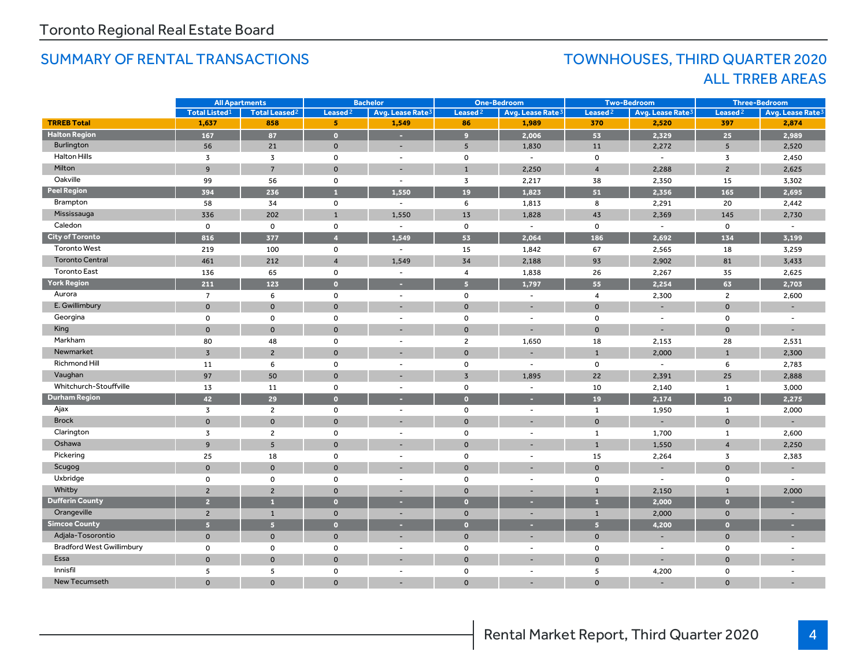## SUMMARY OF RENTAL TRANSACTIONS TOWNHOUSES, THIRD QUARTER 2020

# ALL TRREB AREAS

|                                  | <b>All Apartments</b> |                                 | <b>Bachelor</b>         |                              | <b>One-Bedroom</b>  |                              | <b>Two-Bedroom</b>      |                              | <b>Three-Bedroom</b> |                              |
|----------------------------------|-----------------------|---------------------------------|-------------------------|------------------------------|---------------------|------------------------------|-------------------------|------------------------------|----------------------|------------------------------|
|                                  | <b>Total Listed1</b>  | <b>Total Leased<sup>2</sup></b> | Leased <sup>2</sup>     | Avg. Lease Rate <sup>3</sup> | Leased <sup>2</sup> | Avg. Lease Rate <sup>3</sup> | Leased <sup>2</sup>     | Avg. Lease Rate <sup>3</sup> | Leased <sup>2</sup>  | Avg. Lease Rate <sup>3</sup> |
| <b>TRREB Total</b>               | 1,637                 | 858                             | 5 <sup>1</sup>          | 1,549                        | 86                  | 1,989                        | 370                     | 2,520                        | 397                  | 2,874                        |
| <b>Halton Region</b>             | 167                   | 87                              | $\bullet$               | а                            | $\overline{9}$      | 2,006                        | 53                      | 2,329                        | 25                   | 2,989                        |
| Burlington                       | 56                    | 21                              | $\mathbf 0$             | $\overline{\phantom{a}}$     | 5                   | 1,830                        | 11                      | 2,272                        | 5                    | 2,520                        |
| <b>Halton Hills</b>              | 3                     | 3                               | 0                       | $\overline{\phantom{a}}$     | $\mathsf 0$         | $\sim$                       | $\mathsf{o}$            | $\overline{\phantom{a}}$     | 3                    | 2,450                        |
| Milton                           | 9                     | $\overline{7}$                  | $\mathbf{0}$            | ц.                           | $\mathbf{1}$        | 2,250                        | $\overline{4}$          | 2,288                        | $\overline{2}$       | 2,625                        |
| Oakville                         | 99                    | 56                              | $\mathsf{o}\,$          | $\overline{\phantom{a}}$     | $\overline{3}$      | 2,217                        | 38                      | 2,350                        | 15                   | 3,302                        |
| <b>Peel Region</b>               | 394                   | 236                             | $\mathbf{1}$            | 1,550                        | 19                  | 1,823                        | 51                      | 2,356                        | 165                  | 2,695                        |
| Brampton                         | 58                    | 34                              | 0                       | $\sim$                       | 6                   | 1,813                        | 8                       | 2,291                        | 20                   | 2,442                        |
| Mississauga                      | 336                   | 202                             | $\mathbf{1}$            | 1,550                        | 13                  | 1,828                        | 43                      | 2,369                        | 145                  | 2,730                        |
| Caledon                          | $\mathbf 0$           | $\mathbf 0$                     | $\mathbf 0$             | $\sim$                       | $\mathbf 0$         | $\sim$                       | $\mathbf 0$             | $\sim$                       | $\mathbf 0$          |                              |
| <b>City of Toronto</b>           | 816                   | 377                             | $\overline{4}$          | 1.549                        | 53                  | 2,064                        | 186                     | 2,692                        | 134                  | 3,199                        |
| <b>Toronto West</b>              | 219                   | 100                             | $\mathsf{o}$            | $\blacksquare$               | 15                  | 1,842                        | 67                      | 2,565                        | 18                   | 3,259                        |
| <b>Toronto Central</b>           | 461                   | 212                             | $\overline{\mathbf{4}}$ | 1,549                        | 34                  | 2,188                        | 93                      | 2,902                        | 81                   | 3,433                        |
| <b>Toronto East</b>              | 136                   | 65                              | $\mathbf 0$             | $\overline{\phantom{a}}$     | $\overline{4}$      | 1,838                        | 26                      | 2,267                        | 35                   | 2,625                        |
| <b>York Region</b>               | 211                   | 123                             | $\bullet$               | н                            | 5 <sup>1</sup>      | 1,797                        | 55                      | 2,254                        | 63                   | 2,703                        |
| Aurora                           | $\overline{7}$        | 6                               | $\mathsf{o}$            | $\overline{\phantom{a}}$     | $\mathsf 0$         | $\overline{\phantom{a}}$     | $\overline{\mathbf{4}}$ | 2,300                        | $\overline{2}$       | 2,600                        |
| E. Gwillimbury                   | $\mathbf 0$           | $\mathbf{O}$                    | $\mathbf{0}$            |                              | $\mathbf{0}$        | $\overline{a}$               | $\mathbf{0}$            | ۳                            | $\mathbf 0$          |                              |
| Georgina                         | $\mathbf 0$           | 0                               | $\mathbf 0$             | $\overline{\phantom{a}}$     | $\mathsf 0$         | $\overline{\phantom{a}}$     | $\mathbf 0$             | $\overline{\phantom{a}}$     | $\mathbf 0$          |                              |
| King                             | $\mathbf 0$           | $\mathbf{0}$                    | $\mathbf{0}$            |                              | $\mathbf 0$         | ٠                            | $\mathbf{0}$            | ٠                            | $\mathbf 0$          |                              |
| Markham                          | 80                    | 48                              | $\mathbf 0$             | $\overline{\phantom{a}}$     | $\overline{2}$      | 1,650                        | 18                      | 2,153                        | 28                   | 2,531                        |
| Newmarket                        | $\overline{3}$        | $\overline{2}$                  | $\mathbf{O}$            |                              | $\mathbf{0}$        |                              | $\mathbf{1}$            | 2,000                        | $\mathbf{1}$         | 2,300                        |
| Richmond Hill                    | 11                    | 6                               | $\mathbf 0$             | $\sim$                       | $\mathsf 0$         | $\sim$                       | $\mathbf 0$             | $\overline{\phantom{a}}$     | 6                    | 2,783                        |
| Vaughan                          | 97                    | 50                              | $\mathbf{O}$            |                              | $\overline{3}$      | 1.895                        | 22                      | 2,391                        | 25                   | 2,888                        |
| Whitchurch-Stouffville           | 13                    | 11                              | 0                       | $\blacksquare$               | $\mathsf 0$         | $\overline{\phantom{a}}$     | 10                      | 2,140                        | $\mathbf{1}$         | 3,000                        |
| <b>Durham Region</b>             | 42                    | 29                              | $\bullet$               |                              | $\Omega$            |                              | 19                      | 2,174                        | 10                   | 2,275                        |
| Ajax                             | 3                     | $\mathbf{2}$                    | 0                       | $\blacksquare$               | $\mathsf 0$         | $\sim$                       | $\mathbf{1}$            | 1,950                        | $\mathbf{1}$         | 2,000                        |
| <b>Brock</b>                     | $\mathbf 0$           | $\mathbf{0}$                    | $\mathbf{0}$            |                              | $\mathbf{0}$        |                              | $\mathbf{0}$            |                              | $\mathbf 0$          |                              |
| Clarington                       | 3                     | $\overline{2}$                  | $\mathbf 0$             | $\overline{\phantom{a}}$     | 0                   | $\blacksquare$               | 1                       | 1,700                        | $\mathbf{1}$         | 2,600                        |
| Oshawa                           | 9                     | 5                               | $\mathbf{0}$            |                              | $\mathbf 0$         |                              | $\mathbf{1}$            | 1,550                        | $\overline{4}$       | 2,250                        |
| Pickering                        | 25                    | 18                              | 0                       | $\blacksquare$               | 0                   | $\sim$                       | 15                      | 2,264                        | $\overline{3}$       | 2,383                        |
| Scugog                           | $\Omega$              | $\Omega$                        | $\Omega$                |                              | $\Omega$            |                              | $\Omega$                |                              | $\Omega$             |                              |
| Uxbridge                         | $\mathbf 0$           | $\mathbf 0$                     | $\mathbf 0$             | $\sim$                       | $\mathbf 0$         | $\overline{\phantom{a}}$     | $\mathbf 0$             | $\sim$                       | $\mathbf 0$          | $\sim$                       |
| Whitby                           | $\overline{2}$        | $\overline{2}$                  | $\mathbf{0}$            | $\overline{\phantom{a}}$     | $\mathbf{0}$        | ۰                            | $\mathbf{1}$            | 2,150                        | $\mathbf{1}$         | 2,000                        |
| <b>Dufferin County</b>           | $\overline{2}$        | $\mathbf{1}$                    | $\bullet$               |                              | $\bullet$           | ь                            | $\mathbf{1}$            | 2,000                        | $\bullet$            |                              |
| Orangeville                      | $\overline{2}$        | $\mathbf{1}$                    | $\mathbf 0$             |                              | $\mathbf 0$         | ۳                            | $\mathbf{1}$            | 2,000                        | $\mathbf 0$          |                              |
| <b>Simcoe County</b>             | 5 <sup>1</sup>        | $\overline{\mathbf{5}}$         | $\bullet$               | ×                            | $\bullet$           | н                            | 5 <sup>1</sup>          | 4,200                        | $\Omega$             | ×                            |
| Adjala-Tosorontio                | $\mathbf 0$           | $\mathbf 0$                     | $\mathbf 0$             |                              | $\mathbf 0$         | $\overline{\phantom{a}}$     | $\mathbf 0$             |                              | $\mathbf 0$          |                              |
| <b>Bradford West Gwillimbury</b> | $\mathbf 0$           | 0                               | 0                       | $\sim$                       | 0                   | $\sim$                       | 0                       | $\sim$                       | $\mathbf 0$          | $\overline{\phantom{a}}$     |
| Essa                             | $\mathbf 0$           | $\mathbf 0$                     | $\mathbf 0$             |                              | $\mathbf 0$         |                              | $\mathbf{0}$            | ٠                            | $\mathbf 0$          |                              |
| Innisfil                         | 5                     | 5                               | 0                       | $\sim$                       | 0                   | $\sim$                       | 5                       | 4,200                        | $\mathbf 0$          | $\overline{a}$               |
| New Tecumseth                    | $\Omega$              | $\mathbf{O}$                    | $\mathbf 0$             |                              | $\mathbf{0}$        |                              | $\mathbf{0}$            |                              | $\Omega$             |                              |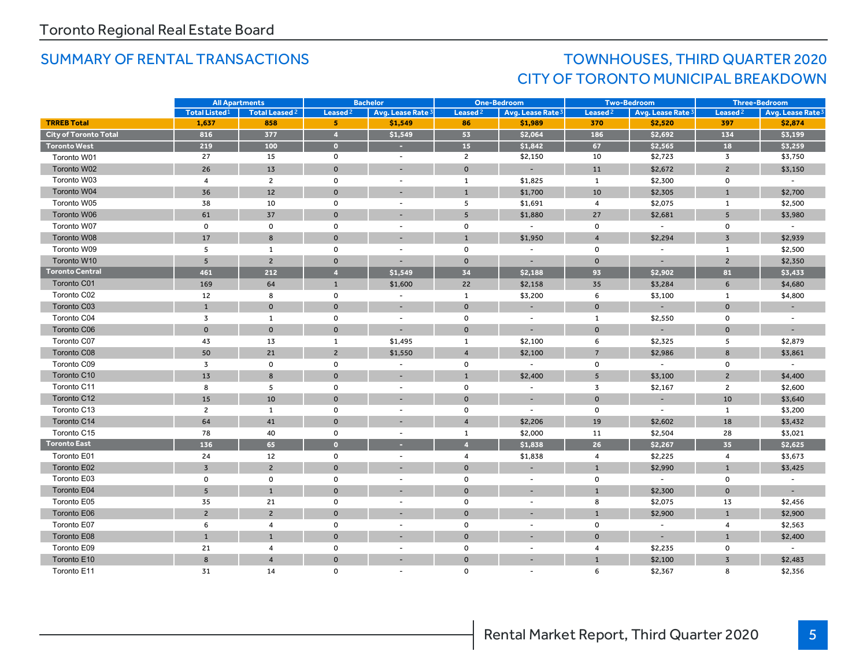# SUMMARY OF RENTAL TRANSACTIONS TOWNHOUSES, THIRD QUARTER 2020 CITY OF TORONTO MUNICIPAL BREAKDOWN

|                              | <b>All Apartments</b> |                           | <b>Bachelor</b>     |                          | <b>One-Bedroom</b>  |                              | <b>Two-Bedroom</b>  |                          | <b>Three-Bedroom</b>    |                              |
|------------------------------|-----------------------|---------------------------|---------------------|--------------------------|---------------------|------------------------------|---------------------|--------------------------|-------------------------|------------------------------|
|                              | <b>Total Listed1</b>  | Total Leased <sup>2</sup> | Leased <sup>2</sup> | Avg. Lease Rate 3        | Leased <sup>2</sup> | Avg. Lease Rate <sup>3</sup> | Leased <sup>2</sup> | Avg. Lease Rate 3        | Leased <sup>2</sup>     | Avg. Lease Rate <sup>3</sup> |
| <b>TRREB Total</b>           | 1,637                 | 858                       | 5                   | \$1,549                  | 86                  | \$1,989                      | 370                 | \$2,520                  | 397                     | \$2,874                      |
| <b>City of Toronto Total</b> | 816                   | 377                       | $\overline{4}$      | \$1,549                  | 53                  | \$2,064                      | 186                 | \$2,692                  | 134                     | \$3,199                      |
| Toronto West                 | 219                   | 100                       | $\bullet$           | ٠                        | 15                  | \$1,842                      | 67                  | \$2,565                  | 18                      | \$3,259                      |
| Toronto W01                  | 27                    | 15                        | 0                   | $\overline{\phantom{a}}$ | $\overline{2}$      | \$2,150                      | 10                  | \$2,723                  | $\overline{3}$          | \$3,750                      |
| Toronto W02                  | 26                    | 13                        | $\mathbf 0$         | ۰                        | $\mathbf 0$         | ٠                            | 11                  | \$2,672                  | $\overline{2}$          | \$3,150                      |
| Toronto W03                  | $\overline{4}$        | $\mathbf{2}$              | $\mathsf{o}$        | $\overline{\phantom{a}}$ | $\mathbf{1}$        | \$1,825                      | $\mathbf{1}$        | \$2,300                  | 0                       | $\sim$                       |
| Toronto W04                  | 36                    | 12                        | $\mathbf{0}$        | $\overline{\phantom{a}}$ | $\mathbf{1}$        | \$1,700                      | 10                  | \$2,305                  | $\mathbf{1}$            | \$2,700                      |
| Toronto W05                  | 38                    | 10                        | 0                   | $\overline{\phantom{a}}$ | 5                   | \$1,691                      | 4                   | \$2,075                  | $\mathbf{1}$            | \$2,500                      |
| Toronto W06                  | 61                    | 37                        | $\mathbf{0}$        | $\overline{\phantom{a}}$ | 5                   | \$1,880                      | 27                  | \$2,681                  | 5                       | \$3,980                      |
| Toronto W07                  | 0                     | $\mathbf 0$               | 0                   | $\overline{\phantom{a}}$ | $\mathsf{o}$        | $\overline{\phantom{a}}$     | $\mathbf 0$         | $\overline{\phantom{a}}$ | 0                       | $\blacksquare$               |
| Toronto W08                  | 17                    | 8                         | $\Omega$            |                          | $\overline{1}$      | \$1,950                      | $\overline{4}$      | \$2,294                  | $\overline{3}$          | \$2,939                      |
| Toronto W09                  | 5                     | $\mathbf{1}$              | $\mathbf 0$         | ÷,                       | $\mathsf 0$         | $\sim$                       | $\mathbf 0$         |                          | $\mathbf{1}$            | \$2,500                      |
| Toronto W10                  | $5\phantom{1}$        | $\overline{c}$            | $\mathbf 0$         |                          | $\mathbf 0$         | ٠                            | $\mathbf{0}$        |                          | $\overline{2}$          | \$2,350                      |
| <b>Toronto Central</b>       | 461                   | 212                       | $\overline{4}$      | \$1.549                  | 34                  | \$2,188                      | 93                  | \$2,902                  | 81                      | \$3,433                      |
| Toronto C01                  | 169                   | 64                        | $\mathbf{1}$        | \$1,600                  | 22                  | \$2,158                      | 35                  | \$3,284                  | 6                       | \$4,680                      |
| Toronto C02                  | 12                    | 8                         | $\mathsf{o}$        | $\blacksquare$           | $\mathbf{1}$        | \$3,200                      | 6                   | \$3,100                  | $\mathbf{1}$            | \$4,800                      |
| Toronto C03                  | $\mathbf{1}$          | $\mathbf{0}$              | $\mathbf{0}$        | $\overline{\phantom{a}}$ | $\mathbf 0$         |                              | $\mathbf{0}$        |                          | $\mathbf{0}$            |                              |
| Toronto C04                  | 3                     | 1                         | $\mathbf 0$         | $\overline{\phantom{a}}$ | $\mathsf{o}$        | $\sim$                       | 1                   | \$2,550                  | $\mathsf{o}$            |                              |
| Toronto C06                  | $\mathbf 0$           | $\mathbf{0}$              | $\mathbf 0$         |                          | $\mathbf 0$         |                              | $\mathbf 0$         |                          | $\mathbf{0}$            |                              |
| Toronto C07                  | 43                    | 13                        | $\mathbf{1}$        | \$1,495                  | $\mathbf{1}$        | \$2,100                      | 6                   | \$2,325                  | 5                       | \$2,879                      |
| Toronto C08                  | 50                    | 21                        | $\overline{2}$      | \$1,550                  | $\overline{4}$      | \$2,100                      | $\overline{7}$      | \$2,986                  | 8                       | \$3,861                      |
| Toronto C09                  | 3                     | $\mathbf 0$               | $\mathsf{o}\,$      |                          | $\mathsf 0$         | $\overline{\phantom{a}}$     | $\mathbf 0$         | $\overline{\phantom{a}}$ | 0                       |                              |
| Toronto C10                  | 13                    | 8                         | $\mathbf 0$         | $\overline{\phantom{a}}$ | $\overline{1}$      | \$2,400                      | 5 <sup>5</sup>      | \$3,100                  | $\overline{2}$          | \$4,400                      |
| Toronto C11                  | 8                     | 5                         | $\mathbf 0$         | $\sim$                   | $\mathsf 0$         | $\sim$                       | 3                   | \$2,167                  | $\overline{2}$          | \$2,600                      |
| Toronto C12                  | 15                    | 10                        | $\mathbf{0}$        | $\overline{\phantom{a}}$ | $\overline{0}$      | ۰                            | $\Omega$            |                          | 10                      | \$3,640                      |
| Toronto C13                  | $\overline{2}$        | $\mathbf{1}$              | 0                   | $\sim$                   | $\mathsf 0$         | $\sim$                       | 0                   | $\overline{\phantom{a}}$ | $\mathbf{1}$            | \$3,200                      |
| Toronto C14                  | 64                    | 41                        | $\mathbf 0$         |                          | $\overline{4}$      | \$2,206                      | 19                  | \$2,602                  | 18                      | \$3,432                      |
| Toronto C15                  | 78                    | 40                        | $\mathsf{o}$        | $\overline{\phantom{a}}$ | $\mathbf{1}$        | \$2,000                      | 11                  | \$2,504                  | 28                      | \$3,021                      |
| <b>Toronto East</b>          | 136                   | 65                        | $\bullet$           | ٠                        | $\overline{4}$      | \$1,838                      | 26                  | \$2,267                  | 35                      | \$2,625                      |
| Toronto E01                  | 24                    | 12                        | 0                   | $\overline{\phantom{a}}$ | $\overline{4}$      | \$1,838                      | $\overline{4}$      | \$2,225                  | $\overline{\mathbf{4}}$ | \$3,673                      |
| Toronto E02                  | $\overline{3}$        | $\overline{2}$            | $\mathbf{0}$        | $\sim$                   | $\mathbf{0}$        | $\overline{\phantom{a}}$     | $\mathbf{1}$        | \$2,990                  | $\mathbf{1}$            | \$3,425                      |
| Toronto E03                  | $\mathbf 0$           | $\mathbf 0$               | $\mathbf 0$         | $\overline{\phantom{a}}$ | $\mathbf 0$         | $\overline{\phantom{a}}$     | $\mathbf 0$         | $\sim$                   | $\mathbf 0$             |                              |
| Toronto E04                  | $5\overline{5}$       | $\mathbf{1}$              | $\mathbf{0}$        |                          | $\mathbf 0$         |                              | $\mathbf{1}$        | \$2,300                  | $\mathbf{0}$            | $\sim$                       |
| Toronto E05                  | 35                    | 21                        | $\mathbf 0$         | $\blacksquare$           | $\mathsf 0$         | $\sim$                       | 8                   | \$2,075                  | 13                      | \$2,456                      |
| Toronto E06                  | $\overline{2}$        | $\overline{2}$            | $\mathbf{0}$        |                          | $\mathbf 0$         |                              | 1                   | \$2,900                  | $\mathbf{1}$            | \$2,900                      |
| Toronto E07                  | 6                     | $\overline{4}$            | 0                   | $\overline{\phantom{a}}$ | $\mathsf{o}$        | $\sim$                       | $\mathbf 0$         | $\overline{\phantom{a}}$ | $\overline{4}$          | \$2,563                      |
| Toronto E08                  | $\mathbf{1}$          | $\mathbf{1}$              | $\mathbf 0$         |                          | $\mathbf 0$         |                              | $\mathbf 0$         |                          | $\mathbf{1}$            | \$2,400                      |
| Toronto E09                  | 21                    | $\overline{4}$            | $\mathsf{o}$        | $\blacksquare$           | $\mathbf 0$         | $\overline{a}$               | $\overline{4}$      | \$2,235                  | $\mathsf{o}$            | $\overline{a}$               |
| Toronto E10                  | 8                     | $\overline{4}$            | $\mathbf{0}$        |                          | $\mathbf 0$         |                              | $\mathbf{1}$        | \$2,100                  | $\overline{3}$          | \$2,483                      |
| Toronto E11                  | 31                    | 14                        | $\Omega$            |                          | $\mathbf 0$         |                              | 6                   | \$2,367                  | 8                       | \$2,356                      |